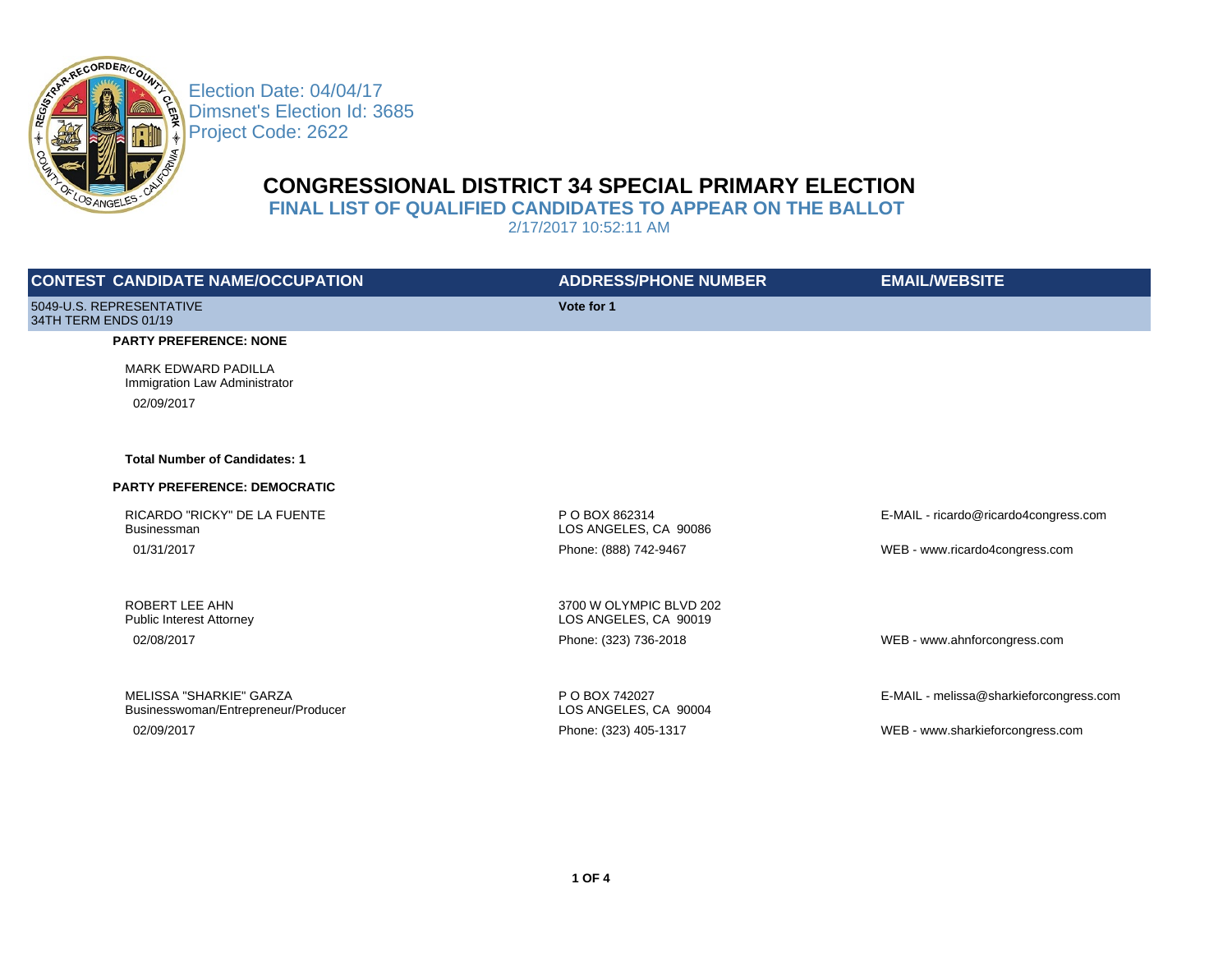

Election Date: 04/04/17 Dimsnet's Election Id: 3685 Project Code: 2622

# **CONGRESSIONAL DISTRICT 34 SPECIAL PRIMARY ELECTION**

**FINAL LIST OF QUALIFIED CANDIDATES TO APPEAR ON THE BALLOT** 

2/17/2017 10:52:11 AM

| <b>CONTEST CANDIDATE NAME/OCCUPATION</b>                       | <b>ADDRESS/PHONE NUMBER</b>                      | <b>EMAIL/WEBSITE</b>                    |
|----------------------------------------------------------------|--------------------------------------------------|-----------------------------------------|
| 5049-U.S. REPRESENTATIVE<br>34TH TERM ENDS 01/19               | Vote for 1                                       |                                         |
| <b>PARTY PREFERENCE: NONE</b>                                  |                                                  |                                         |
| <b>MARK EDWARD PADILLA</b><br>Immigration Law Administrator    |                                                  |                                         |
| 02/09/2017                                                     |                                                  |                                         |
| <b>Total Number of Candidates: 1</b>                           |                                                  |                                         |
| <b>PARTY PREFERENCE: DEMOCRATIC</b>                            |                                                  |                                         |
| RICARDO "RICKY" DE LA FUENTE<br><b>Businessman</b>             | P O BOX 862314<br>LOS ANGELES, CA 90086          | E-MAIL - ricardo@ricardo4congress.com   |
| 01/31/2017                                                     | Phone: (888) 742-9467                            | WEB - www.ricardo4congress.com          |
| ROBERT LEE AHN<br><b>Public Interest Attorney</b>              | 3700 W OLYMPIC BLVD 202<br>LOS ANGELES, CA 90019 |                                         |
| 02/08/2017                                                     | Phone: (323) 736-2018                            | WEB - www.ahnforcongress.com            |
|                                                                |                                                  |                                         |
| MELISSA "SHARKIE" GARZA<br>Businesswoman/Entrepreneur/Producer | P O BOX 742027<br>LOS ANGELES, CA 90004          | E-MAIL - melissa@sharkieforcongress.com |
| 02/09/2017                                                     | Phone: (323) 405-1317                            | WEB - www.sharkieforcongress.com        |
|                                                                |                                                  |                                         |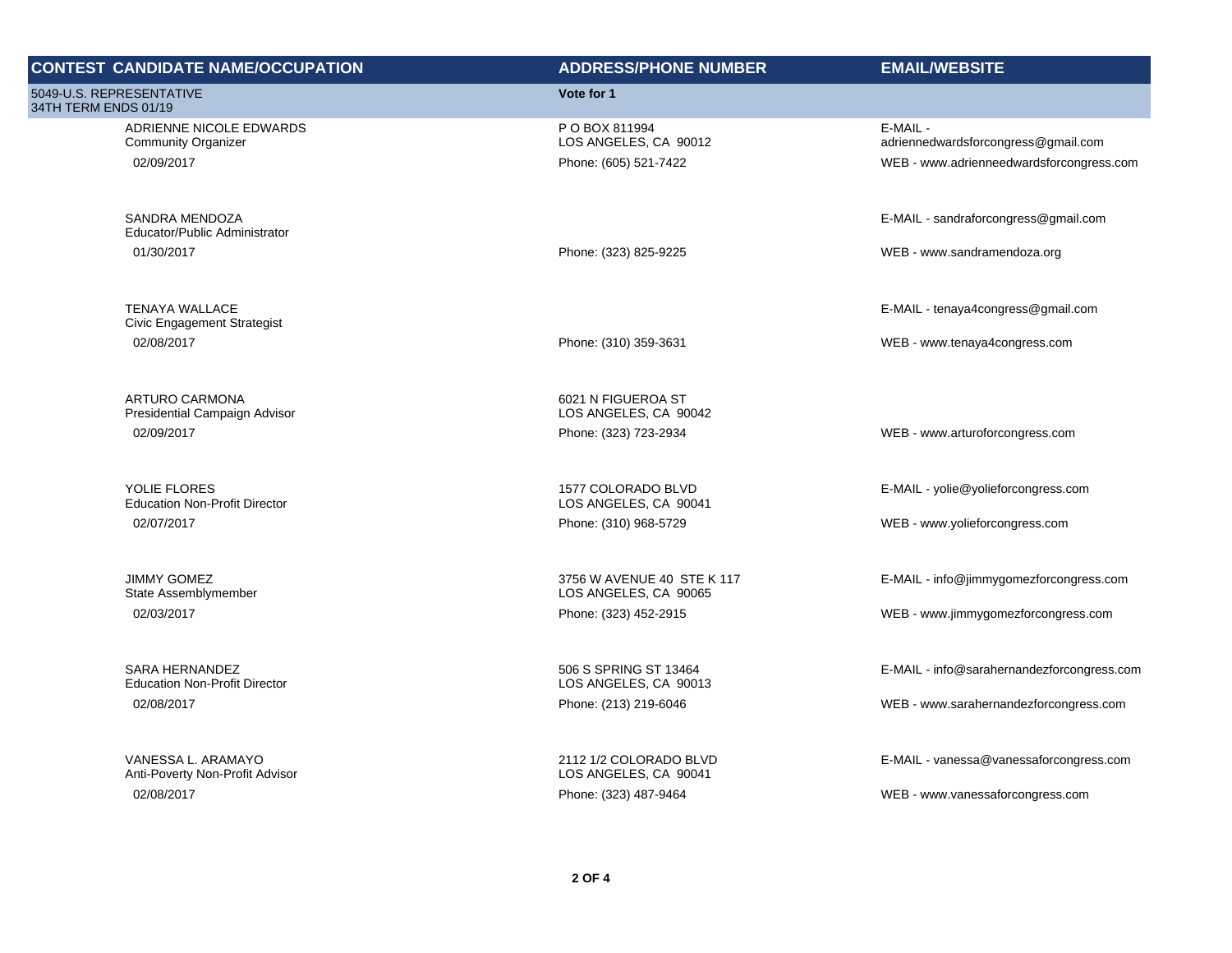| <b>CONTEST CANDIDATE NAME/OCCUPATION</b>               | <b>ADDRESS/PHONE NUMBER</b>                         | <b>EMAIL/WEBSITE</b>                            |
|--------------------------------------------------------|-----------------------------------------------------|-------------------------------------------------|
| 5049-U.S. REPRESENTATIVE<br>34TH TERM ENDS 01/19       | Vote for 1                                          |                                                 |
| ADRIENNE NICOLE EDWARDS<br><b>Community Organizer</b>  | P O BOX 811994<br>LOS ANGELES, CA 90012             | E-MAIL -<br>adriennedwardsforcongress@gmail.com |
| 02/09/2017                                             | Phone: (605) 521-7422                               | WEB - www.adrienneedwardsforcongress.com        |
| <b>SANDRA MENDOZA</b><br>Educator/Public Administrator |                                                     | E-MAIL - sandraforcongress@gmail.com            |
| 01/30/2017                                             | Phone: (323) 825-9225                               | WEB - www.sandramendoza.org                     |
| <b>TENAYA WALLACE</b><br>Civic Engagement Strategist   |                                                     | E-MAIL - tenaya4congress@gmail.com              |
| 02/08/2017                                             | Phone: (310) 359-3631                               | WEB - www.tenaya4congress.com                   |
| ARTURO CARMONA<br>Presidential Campaign Advisor        | 6021 N FIGUEROA ST<br>LOS ANGELES, CA 90042         |                                                 |
| 02/09/2017                                             | Phone: (323) 723-2934                               | WEB - www.arturoforcongress.com                 |
| YOLIE FLORES<br><b>Education Non-Profit Director</b>   | 1577 COLORADO BLVD<br>LOS ANGELES, CA 90041         | E-MAIL - yolie@yolieforcongress.com             |
| 02/07/2017                                             | Phone: (310) 968-5729                               | WEB - www.yolieforcongress.com                  |
| <b>JIMMY GOMEZ</b><br>State Assemblymember             | 3756 W AVENUE 40 STE K 117<br>LOS ANGELES, CA 90065 | E-MAIL - info@jimmygomezforcongress.com         |
| 02/03/2017                                             | Phone: (323) 452-2915                               | WEB - www.jimmygomezforcongress.com             |
| SARA HERNANDEZ<br><b>Education Non-Profit Director</b> | 506 S SPRING ST 13464<br>LOS ANGELES, CA 90013      | E-MAIL - info@sarahernandezforcongress.com      |
| 02/08/2017                                             | Phone: (213) 219-6046                               | WEB - www.sarahernandezforcongress.com          |
| VANESSA L. ARAMAYO<br>Anti-Poverty Non-Profit Advisor  | 2112 1/2 COLORADO BLVD<br>LOS ANGELES, CA 90041     | E-MAIL - vanessa@vanessaforcongress.com         |
| 02/08/2017                                             | Phone: (323) 487-9464                               | WEB - www.vanessaforcongress.com                |
|                                                        |                                                     |                                                 |
|                                                        |                                                     |                                                 |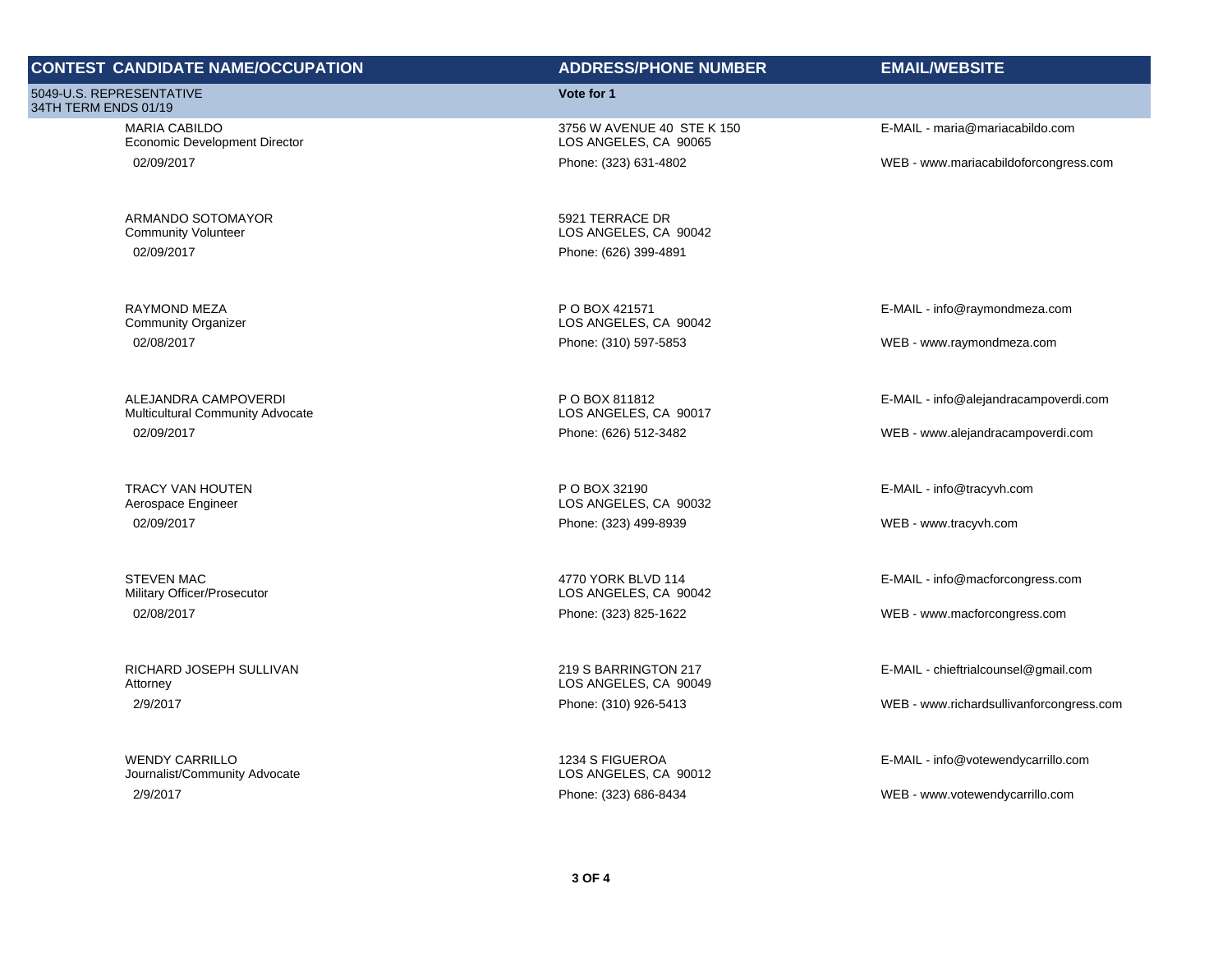# **CONTEST CANDIDATE NAME/OCCUPATION ADDRESS/PHONE NUMBER EMAIL/WEBSITE**

5049-U.S. REPRESENTATIVE 34TH TERM ENDS 01/19

> MARIA CABILDO Economic Development Director

ARMANDO SOTOMAYOR Community Volunteer 02/09/2017 Phone: (626) 399-4891

RAYMOND MEZA Community Organizer

ALEJANDRA CAMPOVERDI Multicultural Community Advocate

TRACY VAN HOUTEN Aerospace Engineer

STEVEN MAC Military Officer/Prosecutor

RICHARD JOSEPH SULLIVAN Attorney

WENDY CARRILLO Journalist/Community Advocate

### **Vote for 1**

3756 W AVENUE 40 STE K 150 LOS ANGELES, CA 90065

5921 TERRACE DR LOS ANGELES, CA 90042

P O BOX 421571 LOS ANGELES, CA 90042 02/08/2017 Phone: (310) 597-5853 WEB - www.raymondmeza.com

> P O BOX 811812 LOS ANGELES, CA 90017

P O BOX 32190 LOS ANGELES, CA 90032 02/09/2017 Phone: (323) 499-8939 WEB - www.tracyvh.com

> 4770 YORK BLVD 114 LOS ANGELES, CA 90042

219 S BARRINGTON 217 LOS ANGELES, CA 90049

1234 S FIGUEROA LOS ANGELES, CA 90012

E-MAIL - maria@mariacabildo.com

02/09/2017 Phone: (323) 631-4802 WEB - www.mariacabildoforcongress.com

E-MAIL - info@raymondmeza.com

E-MAIL - info@alejandracampoverdi.com

02/09/2017 Phone: (626) 512-3482 WEB - www.alejandracampoverdi.com

E-MAIL - info@tracyvh.com

E-MAIL - info@macforcongress.com

02/08/2017 Phone: (323) 825-1622 WEB - www.macforcongress.com

E-MAIL - chieftrialcounsel@gmail.com

2/9/2017 Phone: (310) 926-5413 WEB - www.richardsullivanforcongress.com

E-MAIL - info@votewendycarrillo.com

2/9/2017 Phone: (323) 686-8434 WEB - www.votewendycarrillo.com